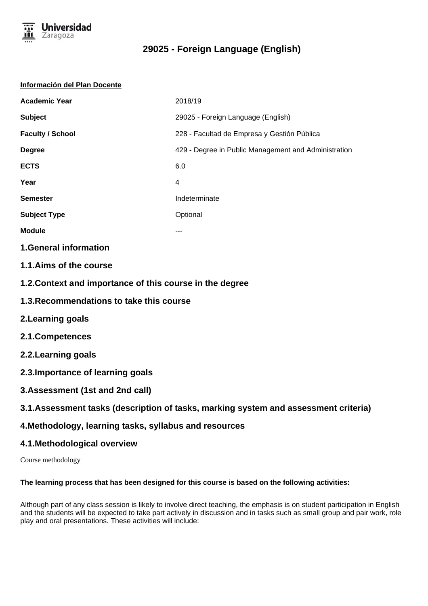

#### **Información del Plan Docente**

| <b>Academic Year</b>    | 2018/19                                              |
|-------------------------|------------------------------------------------------|
| <b>Subject</b>          | 29025 - Foreign Language (English)                   |
| <b>Faculty / School</b> | 228 - Facultad de Empresa y Gestión Pública          |
| <b>Degree</b>           | 429 - Degree in Public Management and Administration |
| <b>ECTS</b>             | 6.0                                                  |
| Year                    | 4                                                    |
| <b>Semester</b>         | Indeterminate                                        |
| <b>Subject Type</b>     | Optional                                             |
| <b>Module</b>           | ---                                                  |

## **1.General information**

- **1.1.Aims of the course**
- **1.2.Context and importance of this course in the degree**
- **1.3.Recommendations to take this course**
- **2.Learning goals**
- **2.1.Competences**
- **2.2.Learning goals**
- **2.3.Importance of learning goals**
- **3.Assessment (1st and 2nd call)**

## **3.1.Assessment tasks (description of tasks, marking system and assessment criteria)**

## **4.Methodology, learning tasks, syllabus and resources**

## **4.1.Methodological overview**

Course methodology

#### **The learning process that has been designed for this course is based on the following activities:**

Although part of any class session is likely to involve direct teaching, the emphasis is on student participation in English and the students will be expected to take part actively in discussion and in tasks such as small group and pair work, role play and oral presentations. These activities will include: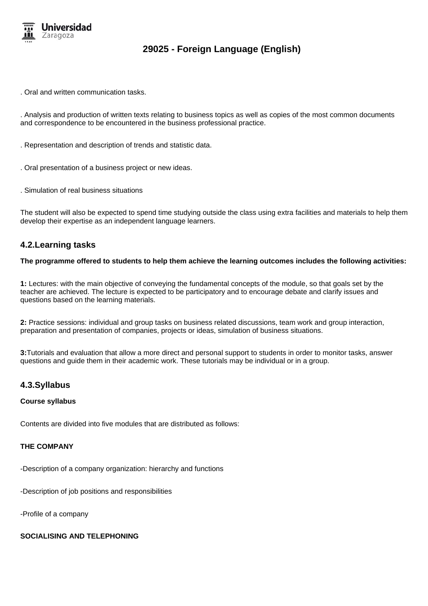

. Oral and written communication tasks.

. Analysis and production of written texts relating to business topics as well as copies of the most common documents and correspondence to be encountered in the business professional practice.

- . Representation and description of trends and statistic data.
- . Oral presentation of a business project or new ideas.
- . Simulation of real business situations

The student will also be expected to spend time studying outside the class using extra facilities and materials to help them develop their expertise as an independent language learners.

## **4.2.Learning tasks**

#### **The programme offered to students to help them achieve the learning outcomes includes the following activities:**

**1:** Lectures: with the main objective of conveying the fundamental concepts of the module, so that goals set by the teacher are achieved. The lecture is expected to be participatory and to encourage debate and clarify issues and questions based on the learning materials.

**2:** Practice sessions: individual and group tasks on business related discussions, team work and group interaction, preparation and presentation of companies, projects or ideas, simulation of business situations.

**3:**Tutorials and evaluation that allow a more direct and personal support to students in order to monitor tasks, answer questions and guide them in their academic work. These tutorials may be individual or in a group.

#### **4.3.Syllabus**

#### **Course syllabus**

Contents are divided into five modules that are distributed as follows:

#### **THE COMPANY**

-Description of a company organization: hierarchy and functions

-Description of job positions and responsibilities

-Profile of a company

#### **SOCIALISING AND TELEPHONING**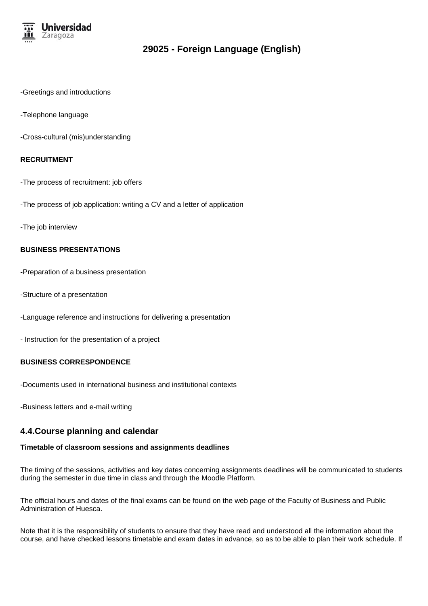

- -Greetings and introductions
- -Telephone language
- -Cross-cultural (mis)understanding

#### **RECRUITMENT**

- -The process of recruitment: job offers
- -The process of job application: writing a CV and a letter of application
- -The job interview

#### **BUSINESS PRESENTATIONS**

- -Preparation of a business presentation
- -Structure of a presentation
- -Language reference and instructions for delivering a presentation
- Instruction for the presentation of a project

#### **BUSINESS CORRESPONDENCE**

- -Documents used in international business and institutional contexts
- -Business letters and e-mail writing

## **4.4.Course planning and calendar**

## **Timetable of classroom sessions and assignments deadlines**

The timing of the sessions, activities and key dates concerning assignments deadlines will be communicated to students during the semester in due time in class and through the Moodle Platform.

The official hours and dates of the final exams can be found on the web page of the Faculty of Business and Public Administration of Huesca.

Note that it is the responsibility of students to ensure that they have read and understood all the information about the course, and have checked lessons timetable and exam dates in advance, so as to be able to plan their work schedule. If